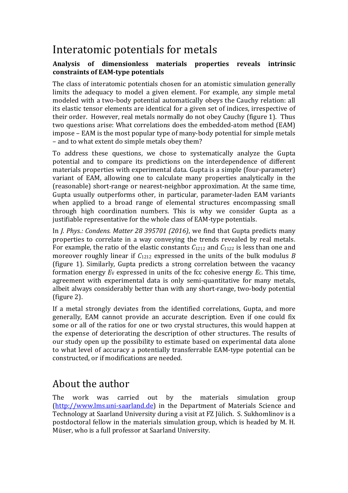## Interatomic potentials for metals

## Analysis of dimensionless materials properties reveals intrinsic **constraints of EAM-type potentials**

The class of interatomic potentials chosen for an atomistic simulation generally limits the adequacy to model a given element. For example, any simple metal modeled with a two-body potential automatically obeys the Cauchy relation: all its elastic tensor elements are identical for a given set of indices, irrespective of their order. However, real metals normally do not obey Cauchy (figure 1). Thus two questions arise: What correlations does the embedded-atom method (EAM) impose - EAM is the most popular type of many-body potential for simple metals – and to what extent do simple metals obey them?

To address these questions, we chose to systematically analyze the Gupta potential and to compare its predictions on the interdependence of different materials properties with experimental data. Gupta is a simple (four-parameter) variant of EAM, allowing one to calculate many properties analytically in the (reasonable) short-range or nearest-neighbor approximation. At the same time, Gupta usually outperforms other, in particular, parameter-laden EAM variants when applied to a broad range of elemental structures encompassing small through high coordination numbers. This is why we consider Gupta as a justifiable representative for the whole class of EAM-type potentials.

In *J. Phys.: Condens. Matter 28 395701 (2016)*, we find that Gupta predicts many properties to correlate in a way conveying the trends revealed by real metals. For example, the ratio of the elastic constants  $C_{1212}$  and  $C_{1122}$  is less than one and moreover roughly linear if  $C_{1212}$  expressed in the units of the bulk modulus *B* (figure 1). Similarly, Gupta predicts a strong correlation between the vacancy formation energy  $E_V$  expressed in units of the fcc cohesive energy  $E_C$ . This time, agreement with experimental data is only semi-quantitative for many metals, albeit always considerably better than with any short-range, two-body potential  $(figure 2)$ .

If a metal strongly deviates from the identified correlations, Gupta, and more generally, EAM cannot provide an accurate description. Even if one could fix some or all of the ratios for one or two crystal structures, this would happen at the expense of deteriorating the description of other structures. The results of our study open up the possibility to estimate based on experimental data alone to what level of accuracy a potentially transferrable EAM-type potential can be constructed, or if modifications are needed.

## About the author

The work was carried out by the materials simulation group (http://www.lms.uni-saarland.de) in the Department of Materials Science and Technology at Saarland University during a visit at FZ Jülich. S. Sukhomlinov is a postdoctoral fellow in the materials simulation group, which is headed by M. H. Müser, who is a full professor at Saarland University.